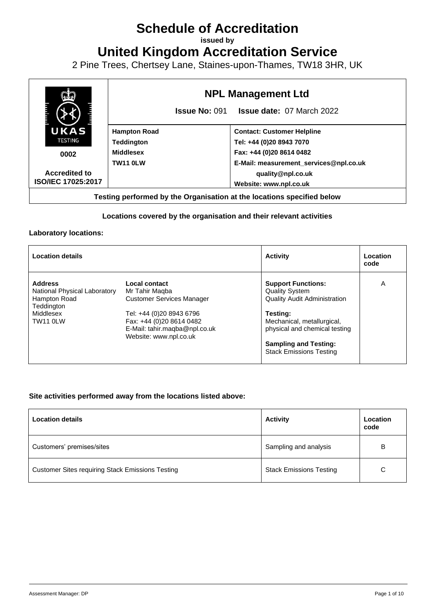# **Schedule of Accreditation**

**issued by**

**United Kingdom Accreditation Service**

2 Pine Trees, Chertsey Lane, Staines-upon-Thames, TW18 3HR, UK



## **Locations covered by the organisation and their relevant activities**

#### **Laboratory locations:**

| <b>Location details</b>                                                                               |                                                                                                                                                                                        | <b>Activity</b>                                                                                                                                                                                                                        | Location<br>code |
|-------------------------------------------------------------------------------------------------------|----------------------------------------------------------------------------------------------------------------------------------------------------------------------------------------|----------------------------------------------------------------------------------------------------------------------------------------------------------------------------------------------------------------------------------------|------------------|
| <b>Address</b><br>National Physical Laboratory<br>Hampton Road<br>Teddington<br>Middlesex<br>TW11 0LW | Local contact<br>Mr Tahir Magba<br><b>Customer Services Manager</b><br>Tel: +44 (0)20 8943 6796<br>Fax: +44 (0)20 8614 0482<br>E-Mail: tahir.maqba@npl.co.uk<br>Website: www.npl.co.uk | <b>Support Functions:</b><br><b>Quality System</b><br><b>Quality Audit Administration</b><br>Testing:<br>Mechanical, metallurgical,<br>physical and chemical testing<br><b>Sampling and Testing:</b><br><b>Stack Emissions Testing</b> | A                |

### **Site activities performed away from the locations listed above:**

| <b>Location details</b>                                 | <b>Activity</b>                | Location<br>code |
|---------------------------------------------------------|--------------------------------|------------------|
| Customers' premises/sites                               | Sampling and analysis          | B                |
| <b>Customer Sites requiring Stack Emissions Testing</b> | <b>Stack Emissions Testing</b> | С                |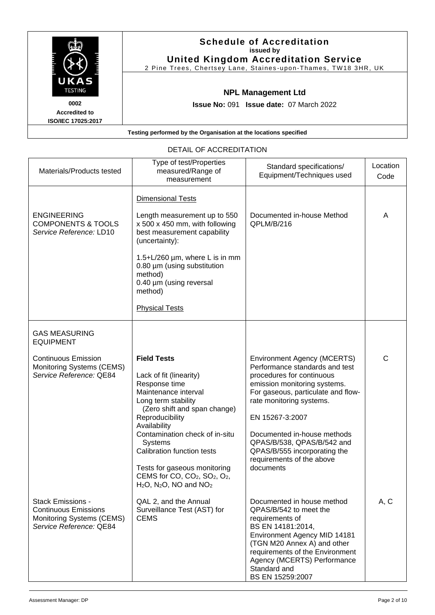|                                                           | <b>Schedule of Accreditation</b><br>issued by<br><b>United Kingdom Accreditation Service</b><br>2 Pine Trees, Chertsey Lane, Staines-upon-Thames, TW18 3HR, UK |
|-----------------------------------------------------------|----------------------------------------------------------------------------------------------------------------------------------------------------------------|
| UKAS<br><b>TESTING</b>                                    | <b>NPL Management Ltd</b>                                                                                                                                      |
| 0002<br><b>Accredited to</b><br><b>ISO/IEC 17025:2017</b> | <b>Issue No: 091 Issue date: 07 March 2022</b>                                                                                                                 |
|                                                           | Testing performed by the Organisation at the locations specified                                                                                               |

| Materials/Products tested                                                                                       | Type of test/Properties<br>measured/Range of<br>measurement                                                                                                                                                                                                                                                                                                                                                          | Standard specifications/<br>Equipment/Techniques used                                                                                                                                                                                                                                                                                                         | Location<br>Code |
|-----------------------------------------------------------------------------------------------------------------|----------------------------------------------------------------------------------------------------------------------------------------------------------------------------------------------------------------------------------------------------------------------------------------------------------------------------------------------------------------------------------------------------------------------|---------------------------------------------------------------------------------------------------------------------------------------------------------------------------------------------------------------------------------------------------------------------------------------------------------------------------------------------------------------|------------------|
| <b>ENGINEERING</b><br><b>COMPONENTS &amp; TOOLS</b><br>Service Reference: LD10                                  | Dimensional Tests<br>Length measurement up to 550<br>x 500 x 450 mm, with following<br>best measurement capability<br>(uncertainty):<br>1.5+L/260 $\mu$ m, where L is in mm<br>0.80 µm (using substitution<br>method)<br>0.40 µm (using reversal<br>method)<br><b>Physical Tests</b>                                                                                                                                 | Documented in-house Method<br>QPLM/B/216                                                                                                                                                                                                                                                                                                                      | A                |
| <b>GAS MEASURING</b><br><b>EQUIPMENT</b>                                                                        |                                                                                                                                                                                                                                                                                                                                                                                                                      |                                                                                                                                                                                                                                                                                                                                                               |                  |
| <b>Continuous Emission</b><br>Monitoring Systems (CEMS)<br>Service Reference: QE84                              | <b>Field Tests</b><br>Lack of fit (linearity)<br>Response time<br>Maintenance interval<br>Long term stability<br>(Zero shift and span change)<br>Reproducibility<br>Availability<br>Contamination check of in-situ<br>Systems<br>Calibration function tests<br>Tests for gaseous monitoring<br>CEMS for CO, CO <sub>2</sub> , SO <sub>2</sub> , O <sub>2</sub> ,<br>$H2O$ , N <sub>2</sub> O, NO and NO <sub>2</sub> | <b>Environment Agency (MCERTS)</b><br>Performance standards and test<br>procedures for continuous<br>emission monitoring systems.<br>For gaseous, particulate and flow-<br>rate monitoring systems.<br>EN 15267-3:2007<br>Documented in-house methods<br>QPAS/B/538, QPAS/B/542 and<br>QPAS/B/555 incorporating the<br>requirements of the above<br>documents | $\mathsf{C}$     |
| <b>Stack Emissions -</b><br><b>Continuous Emissions</b><br>Monitoring Systems (CEMS)<br>Service Reference: QE84 | QAL 2, and the Annual<br>Surveillance Test (AST) for<br><b>CEMS</b>                                                                                                                                                                                                                                                                                                                                                  | Documented in house method<br>QPAS/B/542 to meet the<br>requirements of<br>BS EN 14181:2014,<br>Environment Agency MID 14181<br>(TGN M20 Annex A) and other<br>requirements of the Environment<br>Agency (MCERTS) Performance<br>Standard and<br>BS EN 15259:2007                                                                                             | A, C             |

# DETAIL OF ACCREDITATION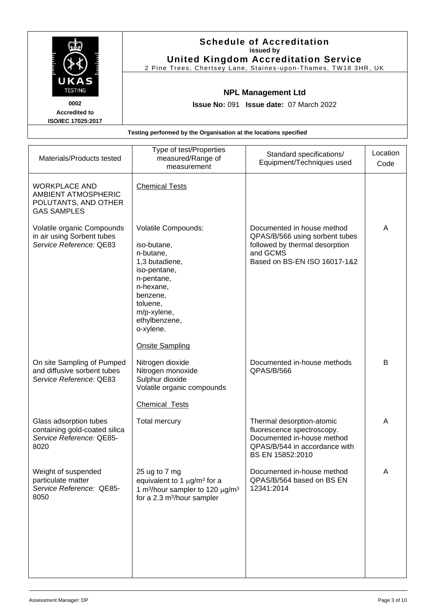|                                                                                                                                                                    |                                                             | <b>Schedule of Accreditation</b><br>issued by<br><b>United Kingdom Accreditation Service</b><br>2 Pine Trees, Chertsey Lane, Staines-upon-Thames, TW18 3HR, UK |                  |
|--------------------------------------------------------------------------------------------------------------------------------------------------------------------|-------------------------------------------------------------|----------------------------------------------------------------------------------------------------------------------------------------------------------------|------------------|
| UKAS<br><b>TESTING</b><br><b>NPL Management Ltd</b><br>0002<br><b>Issue No: 091 Issue date: 07 March 2022</b><br><b>Accredited to</b><br><b>ISO/IEC 17025:2017</b> |                                                             |                                                                                                                                                                |                  |
| Testing performed by the Organisation at the locations specified                                                                                                   |                                                             |                                                                                                                                                                |                  |
| Materials/Products tested                                                                                                                                          | Type of test/Properties<br>measured/Range of<br>mageuramant | Standard specifications/<br>Equipment/Techniques used                                                                                                          | Location<br>Code |

| Materials/Products tested                                                                   | measured/Range or<br>measurement                                                                                                                                                                            | Equipment/Techniques used                                                                                                                  | Code |
|---------------------------------------------------------------------------------------------|-------------------------------------------------------------------------------------------------------------------------------------------------------------------------------------------------------------|--------------------------------------------------------------------------------------------------------------------------------------------|------|
| <b>WORKPLACE AND</b><br>AMBIENT ATMOSPHERIC<br>POLUTANTS, AND OTHER<br><b>GAS SAMPLES</b>   | <b>Chemical Tests</b>                                                                                                                                                                                       |                                                                                                                                            |      |
| Volatile organic Compounds<br>in air using Sorbent tubes<br>Service Reference: QE83         | Volatile Compounds:<br>iso-butane,<br>n-butane,<br>1,3 butadiene,<br>iso-pentane,<br>n-pentane,<br>n-hexane,<br>benzene,<br>toluene,<br>m/p-xylene,<br>ethylbenzene,<br>o-xylene.<br><b>Onsite Sampling</b> | Documented in house method<br>QPAS/B/566 using sorbent tubes<br>followed by thermal desorption<br>and GCMS<br>Based on BS-EN ISO 16017-1&2 | A    |
| On site Sampling of Pumped<br>and diffusive sorbent tubes<br>Service Reference: QE83        | Nitrogen dioxide<br>Nitrogen monoxide<br>Sulphur dioxide<br>Volatile organic compounds<br><b>Chemical Tests</b>                                                                                             | Documented in-house methods<br>QPAS/B/566                                                                                                  | B    |
| Glass adsorption tubes<br>containing gold-coated silica<br>Service Reference: QE85-<br>8020 | <b>Total mercury</b>                                                                                                                                                                                        | Thermal desorption-atomic<br>fluorescence spectroscopy.<br>Documented in-house method<br>QPAS/B/544 in accordance with<br>BS EN 15852:2010 | A    |
| Weight of suspended<br>particulate matter<br>Service Reference: QE85-<br>8050               | 25 ug to 7 mg<br>equivalent to 1 $\mu$ g/m <sup>3</sup> for a<br>1 m <sup>3</sup> /hour sampler to 120 $\mu$ g/m <sup>3</sup><br>for a 2.3 m <sup>3</sup> /hour sampler                                     | Documented in-house method<br>QPAS/B/564 based on BS EN<br>12341:2014                                                                      | A    |
|                                                                                             |                                                                                                                                                                                                             |                                                                                                                                            |      |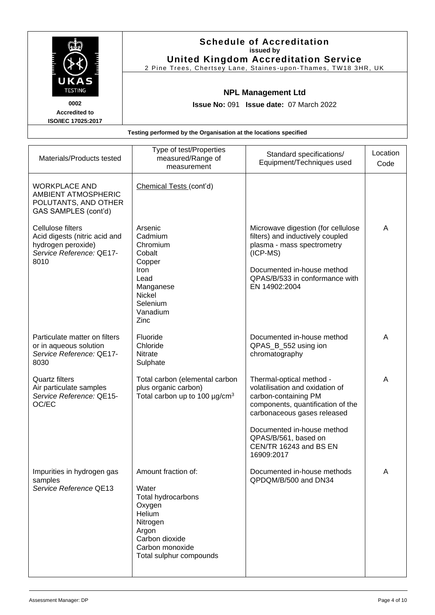| UKAS<br><b>TESTING</b>                                                                      | <b>Schedule of Accreditation</b><br>issued by<br><b>United Kingdom Accreditation Service</b><br>2 Pine Trees, Chertsey Lane, Staines-upon-Thames, TW18 3HR, UK<br><b>NPL Management Ltd</b> |                                                |          |
|---------------------------------------------------------------------------------------------|---------------------------------------------------------------------------------------------------------------------------------------------------------------------------------------------|------------------------------------------------|----------|
| 0002<br><b>Accredited to</b>                                                                |                                                                                                                                                                                             | <b>Issue No: 091 Issue date: 07 March 2022</b> |          |
| <b>ISO/IEC 17025:2017</b>                                                                   |                                                                                                                                                                                             |                                                |          |
|                                                                                             | Testing performed by the Organisation at the locations specified                                                                                                                            |                                                |          |
|                                                                                             | Type of test/Properties                                                                                                                                                                     |                                                |          |
| Materials/Products tested                                                                   | measured/Range of                                                                                                                                                                           | Standard specifications/                       | Location |
|                                                                                             | measurement                                                                                                                                                                                 | Equipment/Techniques used                      | Code     |
| <b>WORKPLACE AND</b><br>AMBIENT ATMOSPHERIC<br>POLUTANTS, AND OTHER<br>GAS SAMPLES (cont'd) | Chemical Tests (cont'd)                                                                                                                                                                     |                                                |          |

| AMBIENT ATMOSPHERIC<br>POLUTANTS, AND OTHER<br>GAS SAMPLES (cont'd)                                          |                                                                                                                                                             |                                                                                                                                                                                                                                                       |   |
|--------------------------------------------------------------------------------------------------------------|-------------------------------------------------------------------------------------------------------------------------------------------------------------|-------------------------------------------------------------------------------------------------------------------------------------------------------------------------------------------------------------------------------------------------------|---|
| Cellulose filters<br>Acid digests (nitric acid and<br>hydrogen peroxide)<br>Service Reference: QE17-<br>8010 | Arsenic<br>Cadmium<br>Chromium<br>Cobalt<br>Copper<br>Iron<br>Lead<br>Manganese<br><b>Nickel</b><br>Selenium<br>Vanadium<br>Zinc                            | Microwave digestion (for cellulose<br>filters) and inductively coupled<br>plasma - mass spectrometry<br>$(ICP-MS)$<br>Documented in-house method<br>QPAS/B/533 in conformance with<br>EN 14902:2004                                                   | A |
| Particulate matter on filters<br>or in aqueous solution<br>Service Reference: QE17-<br>8030                  | Fluoride<br>Chloride<br><b>Nitrate</b><br>Sulphate                                                                                                          | Documented in-house method<br>QPAS_B_552 using ion<br>chromatography                                                                                                                                                                                  | A |
| <b>Quartz filters</b><br>Air particulate samples<br>Service Reference: QE15-<br>OC/EC                        | Total carbon (elemental carbon<br>plus organic carbon)<br>Total carbon up to 100 $\mu$ g/cm <sup>3</sup>                                                    | Thermal-optical method -<br>volatilisation and oxidation of<br>carbon-containing PM<br>components, quantification of the<br>carbonaceous gases released<br>Documented in-house method<br>QPAS/B/561, based on<br>CEN/TR 16243 and BS EN<br>16909:2017 | A |
| Impurities in hydrogen gas<br>samples<br>Service Reference QE13                                              | Amount fraction of:<br>Water<br>Total hydrocarbons<br>Oxygen<br>Helium<br>Nitrogen<br>Argon<br>Carbon dioxide<br>Carbon monoxide<br>Total sulphur compounds | Documented in-house methods<br>QPDQM/B/500 and DN34                                                                                                                                                                                                   | Α |
|                                                                                                              |                                                                                                                                                             |                                                                                                                                                                                                                                                       |   |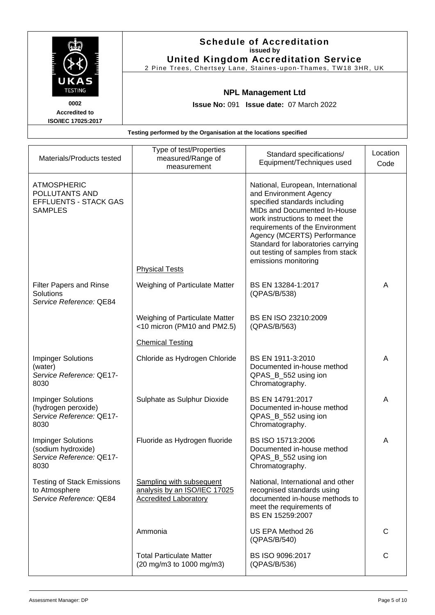|                                                                  | <b>Schedule of Accreditation</b><br>issued by<br><b>United Kingdom Accreditation Service</b><br>2 Pine Trees, Chertsey Lane, Staines-upon-Thames, TW18 3HR, UK |                                                                             |          |  |
|------------------------------------------------------------------|----------------------------------------------------------------------------------------------------------------------------------------------------------------|-----------------------------------------------------------------------------|----------|--|
| UKAS<br><b>TESTING</b><br>0002                                   |                                                                                                                                                                | <b>NPL Management Ltd</b><br><b>Issue No: 091 Issue date: 07 March 2022</b> |          |  |
| <b>Accredited to</b><br>ISO/IEC 17025:2017                       |                                                                                                                                                                |                                                                             |          |  |
| Testing performed by the Organisation at the locations specified |                                                                                                                                                                |                                                                             |          |  |
|                                                                  |                                                                                                                                                                |                                                                             |          |  |
| Materials/Products tested                                        | Type of test/Properties<br>measured/Range of                                                                                                                   | Standard specifications/                                                    | Location |  |

| Materials/Products tested                                                              | measured/Range of<br>measurement                                                                | Standard specifications/<br>Equipment/Techniques used                                                                                                                                                                                                                                                                              | Location<br>Code |
|----------------------------------------------------------------------------------------|-------------------------------------------------------------------------------------------------|------------------------------------------------------------------------------------------------------------------------------------------------------------------------------------------------------------------------------------------------------------------------------------------------------------------------------------|------------------|
| <b>ATMOSPHERIC</b><br>POLLUTANTS AND<br><b>EFFLUENTS - STACK GAS</b><br><b>SAMPLES</b> | <b>Physical Tests</b>                                                                           | National, European, International<br>and Environment Agency<br>specified standards including<br>MIDs and Documented In-House<br>work instructions to meet the<br>requirements of the Environment<br>Agency (MCERTS) Performance<br>Standard for laboratories carrying<br>out testing of samples from stack<br>emissions monitoring |                  |
| <b>Filter Papers and Rinse</b><br>Solutions<br>Service Reference: QE84                 | Weighing of Particulate Matter                                                                  | BS EN 13284-1:2017<br>(QPAS/B/538)                                                                                                                                                                                                                                                                                                 | A                |
|                                                                                        | Weighing of Particulate Matter<br><10 micron (PM10 and PM2.5)<br><b>Chemical Testing</b>        | BS EN ISO 23210:2009<br>(QPAS/B/563)                                                                                                                                                                                                                                                                                               |                  |
| <b>Impinger Solutions</b><br>(water)<br>Service Reference: QE17-<br>8030               | Chloride as Hydrogen Chloride                                                                   | BS EN 1911-3:2010<br>Documented in-house method<br>QPAS_B_552 using ion<br>Chromatography.                                                                                                                                                                                                                                         | A                |
| <b>Impinger Solutions</b><br>(hydrogen peroxide)<br>Service Reference: QE17-<br>8030   | Sulphate as Sulphur Dioxide                                                                     | BS EN 14791:2017<br>Documented in-house method<br>QPAS_B_552 using ion<br>Chromatography.                                                                                                                                                                                                                                          | A                |
| <b>Impinger Solutions</b><br>(sodium hydroxide)<br>Service Reference: QE17-<br>8030    | Fluoride as Hydrogen fluoride                                                                   | BS ISO 15713:2006<br>Documented in-house method<br>QPAS_B_552 using ion<br>Chromatography.                                                                                                                                                                                                                                         | A                |
| <b>Testing of Stack Emissions</b><br>to Atmosphere<br>Service Reference: QE84          | <b>Sampling with subsequent</b><br>analysis by an ISO/IEC 17025<br><b>Accredited Laboratory</b> | National, International and other<br>recognised standards using<br>documented in-house methods to<br>meet the requirements of<br>BS EN 15259:2007                                                                                                                                                                                  |                  |
|                                                                                        | Ammonia                                                                                         | US EPA Method 26<br>(QPAS/B/540)                                                                                                                                                                                                                                                                                                   | C                |
|                                                                                        | <b>Total Particulate Matter</b><br>(20 mg/m3 to 1000 mg/m3)                                     | BS ISO 9096:2017<br>(QPAS/B/536)                                                                                                                                                                                                                                                                                                   | $\mathsf{C}$     |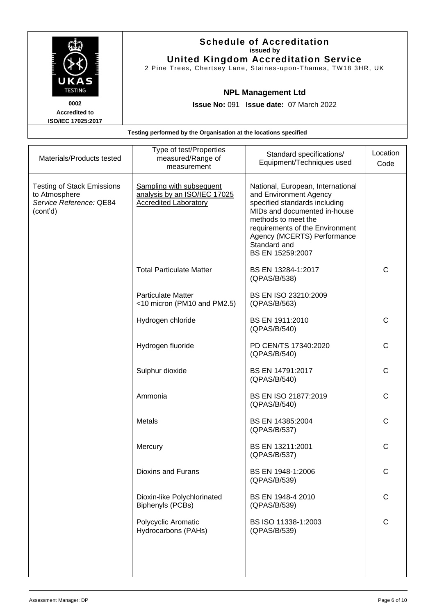|                                                           | <b>Schedule of Accreditation</b><br>issued by<br><b>United Kingdom Accreditation Service</b><br>2 Pine Trees, Chertsey Lane, Staines-upon-Thames, TW18 3HR, UK |
|-----------------------------------------------------------|----------------------------------------------------------------------------------------------------------------------------------------------------------------|
| UKAS<br><b>TESTING</b>                                    | <b>NPL Management Ltd</b>                                                                                                                                      |
| 0002<br><b>Accredited to</b><br><b>ISO/IEC 17025:2017</b> | <b>Issue No: 091 Issue date: 07 March 2022</b>                                                                                                                 |
|                                                           | Testing performed by the Organisation at the locations specified                                                                                               |

| Materials/Products tested                                                                 | Type of test/Properties<br>measured/Range of<br>measurement                                     | Standard specifications/<br>Equipment/Techniques used                                                                                                                                                                                                     | Location<br>Code |
|-------------------------------------------------------------------------------------------|-------------------------------------------------------------------------------------------------|-----------------------------------------------------------------------------------------------------------------------------------------------------------------------------------------------------------------------------------------------------------|------------------|
| <b>Testing of Stack Emissions</b><br>to Atmosphere<br>Service Reference: QE84<br>(cont'd) | <b>Sampling with subsequent</b><br>analysis by an ISO/IEC 17025<br><b>Accredited Laboratory</b> | National, European, International<br>and Environment Agency<br>specified standards including<br>MIDs and documented in-house<br>methods to meet the<br>requirements of the Environment<br>Agency (MCERTS) Performance<br>Standard and<br>BS EN 15259:2007 |                  |
|                                                                                           | <b>Total Particulate Matter</b>                                                                 | BS EN 13284-1:2017<br>(QPAS/B/538)                                                                                                                                                                                                                        | $\mathsf{C}$     |
|                                                                                           | <b>Particulate Matter</b><br><10 micron (PM10 and PM2.5)                                        | BS EN ISO 23210:2009<br>(QPAS/B/563)                                                                                                                                                                                                                      |                  |
|                                                                                           | Hydrogen chloride                                                                               | BS EN 1911:2010<br>(QPAS/B/540)                                                                                                                                                                                                                           | $\mathsf C$      |
|                                                                                           | Hydrogen fluoride                                                                               | PD CEN/TS 17340:2020<br>(QPAS/B/540)                                                                                                                                                                                                                      | $\mathsf C$      |
|                                                                                           | Sulphur dioxide                                                                                 | BS EN 14791:2017<br>(QPAS/B/540)                                                                                                                                                                                                                          | $\mathsf{C}$     |
|                                                                                           | Ammonia                                                                                         | BS EN ISO 21877:2019<br>(QPAS/B/540)                                                                                                                                                                                                                      | $\mathsf{C}$     |
|                                                                                           | <b>Metals</b>                                                                                   | BS EN 14385:2004<br>(QPAS/B/537)                                                                                                                                                                                                                          | $\mathsf{C}$     |
|                                                                                           | Mercury                                                                                         | BS EN 13211:2001<br>(QPAS/B/537)                                                                                                                                                                                                                          | $\mathsf C$      |
|                                                                                           | Dioxins and Furans                                                                              | BS EN 1948-1:2006<br>(QPAS/B/539)                                                                                                                                                                                                                         | C                |
|                                                                                           | Dioxin-like Polychlorinated<br><b>Biphenyls (PCBs)</b>                                          | BS EN 1948-4 2010<br>(QPAS/B/539)                                                                                                                                                                                                                         | $\mathsf C$      |
|                                                                                           | Polycyclic Aromatic<br>Hydrocarbons (PAHs)                                                      | BS ISO 11338-1:2003<br>(QPAS/B/539)                                                                                                                                                                                                                       | $\mathsf{C}$     |
|                                                                                           |                                                                                                 |                                                                                                                                                                                                                                                           |                  |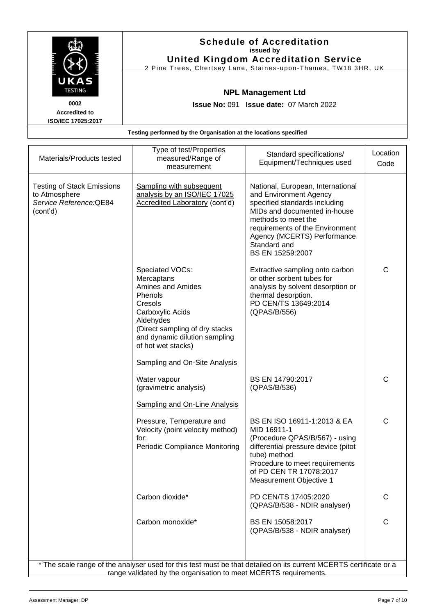|                                                        |                                                                             | <b>Schedule of Accreditation</b><br>issued by<br><b>United Kingdom Accreditation Service</b><br>2 Pine Trees, Chertsey Lane, Staines-upon-Thames, TW18 3HR, UK |         |
|--------------------------------------------------------|-----------------------------------------------------------------------------|----------------------------------------------------------------------------------------------------------------------------------------------------------------|---------|
| UKAS<br><b>TESTING</b><br>0002<br><b>Accredited to</b> | <b>NPL Management Ltd</b><br><b>Issue No: 091 Issue date: 07 March 2022</b> |                                                                                                                                                                |         |
| <b>ISO/IEC 17025:2017</b>                              | Testing performed by the Organisation at the locations specified            |                                                                                                                                                                |         |
|                                                        | Type of test/Properties                                                     | Standard engoificationel                                                                                                                                       | ocation |

| <b>Testing of Stack Emissions</b><br>to Atmosphere<br>Service Reference: QE84                                                                                                         | <b>Sampling with subsequent</b><br>analysis by an ISO/IEC 17025<br>Accredited Laboratory (cont'd)                                                                                                                                          | National, European, International<br>and Environment Agency                                                                                                                                                                 |              |
|---------------------------------------------------------------------------------------------------------------------------------------------------------------------------------------|--------------------------------------------------------------------------------------------------------------------------------------------------------------------------------------------------------------------------------------------|-----------------------------------------------------------------------------------------------------------------------------------------------------------------------------------------------------------------------------|--------------|
| (cont'd)                                                                                                                                                                              |                                                                                                                                                                                                                                            | specified standards including<br>MIDs and documented in-house<br>methods to meet the<br>requirements of the Environment<br>Agency (MCERTS) Performance<br>Standard and<br>BS EN 15259:2007                                  |              |
|                                                                                                                                                                                       | Speciated VOCs:<br>Mercaptans<br>Amines and Amides<br>Phenols<br>Cresols<br>Carboxylic Acids<br>Aldehydes<br>(Direct sampling of dry stacks<br>and dynamic dilution sampling<br>of hot wet stacks)<br><b>Sampling and On-Site Analysis</b> | Extractive sampling onto carbon<br>or other sorbent tubes for<br>analysis by solvent desorption or<br>thermal desorption.<br>PD CEN/TS 13649:2014<br>(QPAS/B/556)                                                           | $\mathsf C$  |
|                                                                                                                                                                                       | Water vapour<br>(gravimetric analysis)                                                                                                                                                                                                     | BS EN 14790:2017<br>(QPAS/B/536)                                                                                                                                                                                            | $\mathsf{C}$ |
|                                                                                                                                                                                       | <b>Sampling and On-Line Analysis</b><br>Pressure, Temperature and<br>Velocity (point velocity method)<br>for:<br><b>Periodic Compliance Monitoring</b>                                                                                     | BS EN ISO 16911-1:2013 & EA<br>MID 16911-1<br>(Procedure QPAS/B/567) - using<br>differential pressure device (pitot<br>tube) method<br>Procedure to meet requirements<br>of PD CEN TR 17078:2017<br>Measurement Objective 1 | $\mathsf C$  |
|                                                                                                                                                                                       | Carbon dioxide*                                                                                                                                                                                                                            | PD CEN/TS 17405:2020<br>(QPAS/B/538 - NDIR analyser)                                                                                                                                                                        | $\mathsf{C}$ |
|                                                                                                                                                                                       | Carbon monoxide*                                                                                                                                                                                                                           | BS EN 15058:2017<br>(QPAS/B/538 - NDIR analyser)                                                                                                                                                                            | C            |
| * The scale range of the analyser used for this test must be that detailed on its current MCERTS certificate or a<br>range validated by the organisation to meet MCERTS requirements. |                                                                                                                                                                                                                                            |                                                                                                                                                                                                                             |              |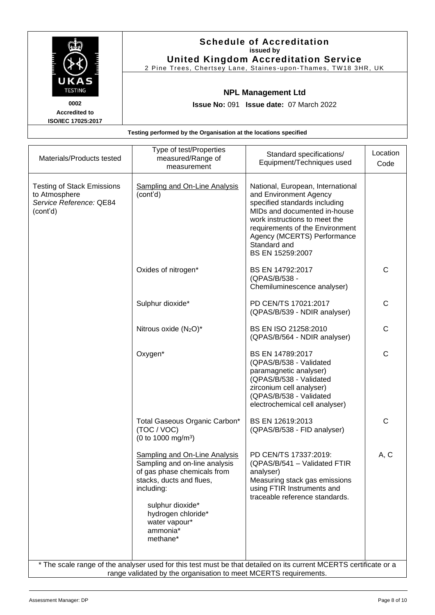|                                                           | <b>Schedule of Accreditation</b><br>issued by<br><b>United Kingdom Accreditation Service</b><br>2 Pine Trees, Chertsey Lane, Staines-upon-Thames, TW18 3HR, UK |
|-----------------------------------------------------------|----------------------------------------------------------------------------------------------------------------------------------------------------------------|
| UKAS<br><b>TESTING</b>                                    | <b>NPL Management Ltd</b>                                                                                                                                      |
| 0002<br><b>Accredited to</b><br><b>ISO/IEC 17025:2017</b> | <b>Issue No: 091 Issue date: 07 March 2022</b>                                                                                                                 |
|                                                           | Testing performed by the Organisation at the locations specified                                                                                               |

| Materials/Products tested                                                                 | Type of test/Properties<br>measured/Range of<br>measurement                                                                                                                                                                       | Standard specifications/<br>Equipment/Techniques used                                                                                                                                                                                                               | Location<br>Code |  |
|-------------------------------------------------------------------------------------------|-----------------------------------------------------------------------------------------------------------------------------------------------------------------------------------------------------------------------------------|---------------------------------------------------------------------------------------------------------------------------------------------------------------------------------------------------------------------------------------------------------------------|------------------|--|
| <b>Testing of Stack Emissions</b><br>to Atmosphere<br>Service Reference: QE84<br>(cont'd) | <b>Sampling and On-Line Analysis</b><br>(cont'd)                                                                                                                                                                                  | National, European, International<br>and Environment Agency<br>specified standards including<br>MIDs and documented in-house<br>work instructions to meet the<br>requirements of the Environment<br>Agency (MCERTS) Performance<br>Standard and<br>BS EN 15259:2007 |                  |  |
|                                                                                           | Oxides of nitrogen*                                                                                                                                                                                                               | BS EN 14792:2017<br>(QPAS/B/538 -<br>Chemiluminescence analyser)                                                                                                                                                                                                    | C                |  |
|                                                                                           | Sulphur dioxide*                                                                                                                                                                                                                  | PD CEN/TS 17021:2017<br>(QPAS/B/539 - NDIR analyser)                                                                                                                                                                                                                | $\mathsf{C}$     |  |
|                                                                                           | Nitrous oxide (N <sub>2</sub> O)*                                                                                                                                                                                                 | BS EN ISO 21258:2010<br>(QPAS/B/564 - NDIR analyser)                                                                                                                                                                                                                | $\mathsf{C}$     |  |
|                                                                                           | Oxygen*                                                                                                                                                                                                                           | BS EN 14789:2017<br>(QPAS/B/538 - Validated<br>paramagnetic analyser)<br>(QPAS/B/538 - Validated<br>zirconium cell analyser)<br>(QPAS/B/538 - Validated<br>electrochemical cell analyser)                                                                           | C                |  |
|                                                                                           | Total Gaseous Organic Carbon*<br>(TOC / VOC)<br>(0 to 1000 mg/m <sup>3</sup> )                                                                                                                                                    | BS EN 12619:2013<br>(QPAS/B/538 - FID analyser)                                                                                                                                                                                                                     | C                |  |
|                                                                                           | <b>Sampling and On-Line Analysis</b><br>Sampling and on-line analysis<br>of gas phase chemicals from<br>stacks, ducts and flues,<br>including:<br>sulphur dioxide*<br>hydrogen chloride*<br>water vapour*<br>ammonia*<br>methane* | PD CEN/TS 17337:2019:<br>(QPAS/B/541 - Validated FTIR<br>analyser)<br>Measuring stack gas emissions<br>using FTIR Instruments and<br>traceable reference standards.                                                                                                 | A, C             |  |
|                                                                                           | * The scale range of the analyser used for this test must be that detailed on its current MCERTS certificate or a<br>range validated by the organisation to meet MCERTS requirements.                                             |                                                                                                                                                                                                                                                                     |                  |  |
|                                                                                           |                                                                                                                                                                                                                                   |                                                                                                                                                                                                                                                                     |                  |  |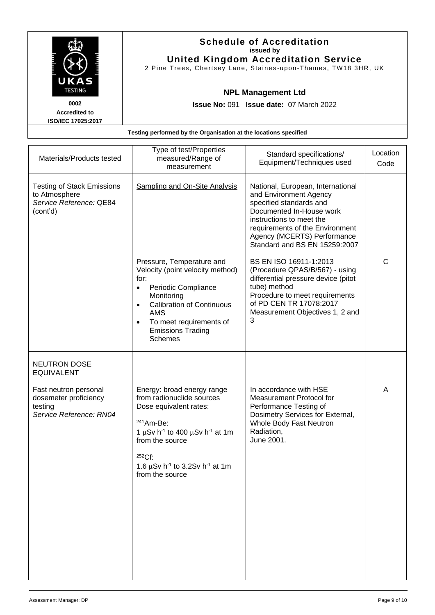|                                                                                                                                       | <b>Schedule of Accreditation</b><br>issued by<br><b>United Kingdom Accreditation Service</b><br>2 Pine Trees, Chertsey Lane, Staines-upon-Thames, TW18 3HR, UK |                          |          |
|---------------------------------------------------------------------------------------------------------------------------------------|----------------------------------------------------------------------------------------------------------------------------------------------------------------|--------------------------|----------|
| UKAS<br><b>TESTING</b><br><b>NPL Management Ltd</b><br>0002<br><b>Issue No: 091 Issue date: 07 March 2022</b><br><b>Accredited to</b> |                                                                                                                                                                |                          |          |
| <b>ISO/IEC 17025:2017</b>                                                                                                             | Testing performed by the Organisation at the locations specified                                                                                               |                          |          |
| Materiale/Draduate tootad                                                                                                             | Type of test/Properties<br>monourad/Donne of                                                                                                                   | Standard specifications/ | Location |

| Materials/Products tested                                                                 | measured/Range of<br>measurement                                                                                                                                                                                                                                                                 | Standard specifications/<br>Equipment/Techniques used                                                                                                                                                                                             | ∟υ∪αιι∪⊓<br>Code |
|-------------------------------------------------------------------------------------------|--------------------------------------------------------------------------------------------------------------------------------------------------------------------------------------------------------------------------------------------------------------------------------------------------|---------------------------------------------------------------------------------------------------------------------------------------------------------------------------------------------------------------------------------------------------|------------------|
| <b>Testing of Stack Emissions</b><br>to Atmosphere<br>Service Reference: QE84<br>(cont'd) | <b>Sampling and On-Site Analysis</b>                                                                                                                                                                                                                                                             | National, European, International<br>and Environment Agency<br>specified standards and<br>Documented In-House work<br>instructions to meet the<br>requirements of the Environment<br>Agency (MCERTS) Performance<br>Standard and BS EN 15259:2007 |                  |
|                                                                                           | Pressure, Temperature and<br>Velocity (point velocity method)<br>for:<br>Periodic Compliance<br>$\bullet$<br>Monitoring<br><b>Calibration of Continuous</b><br>$\bullet$<br><b>AMS</b><br>To meet requirements of<br>$\bullet$<br><b>Emissions Trading</b><br><b>Schemes</b>                     | BS EN ISO 16911-1:2013<br>(Procedure QPAS/B/567) - using<br>differential pressure device (pitot<br>tube) method<br>Procedure to meet requirements<br>of PD CEN TR 17078:2017<br>Measurement Objectives 1, 2 and<br>3                              | $\mathsf{C}$     |
| <b>NEUTRON DOSE</b><br><b>EQUIVALENT</b>                                                  |                                                                                                                                                                                                                                                                                                  |                                                                                                                                                                                                                                                   |                  |
| Fast neutron personal<br>dosemeter proficiency<br>testing<br>Service Reference: RN04      | Energy: broad energy range<br>from radionuclide sources<br>Dose equivalent rates:<br><sup>241</sup> Am-Be:<br>1 $\mu$ Sv h <sup>-1</sup> to 400 $\mu$ Sv h <sup>-1</sup> at 1m<br>from the source<br>$252Cf$ :<br>1.6 $\mu$ Sv h <sup>-1</sup> to 3.2Sv h <sup>-1</sup> at 1m<br>from the source | In accordance with HSE<br>Measurement Protocol for<br>Performance Testing of<br>Dosimetry Services for External,<br>Whole Body Fast Neutron<br>Radiation,<br>June 2001.                                                                           | A                |